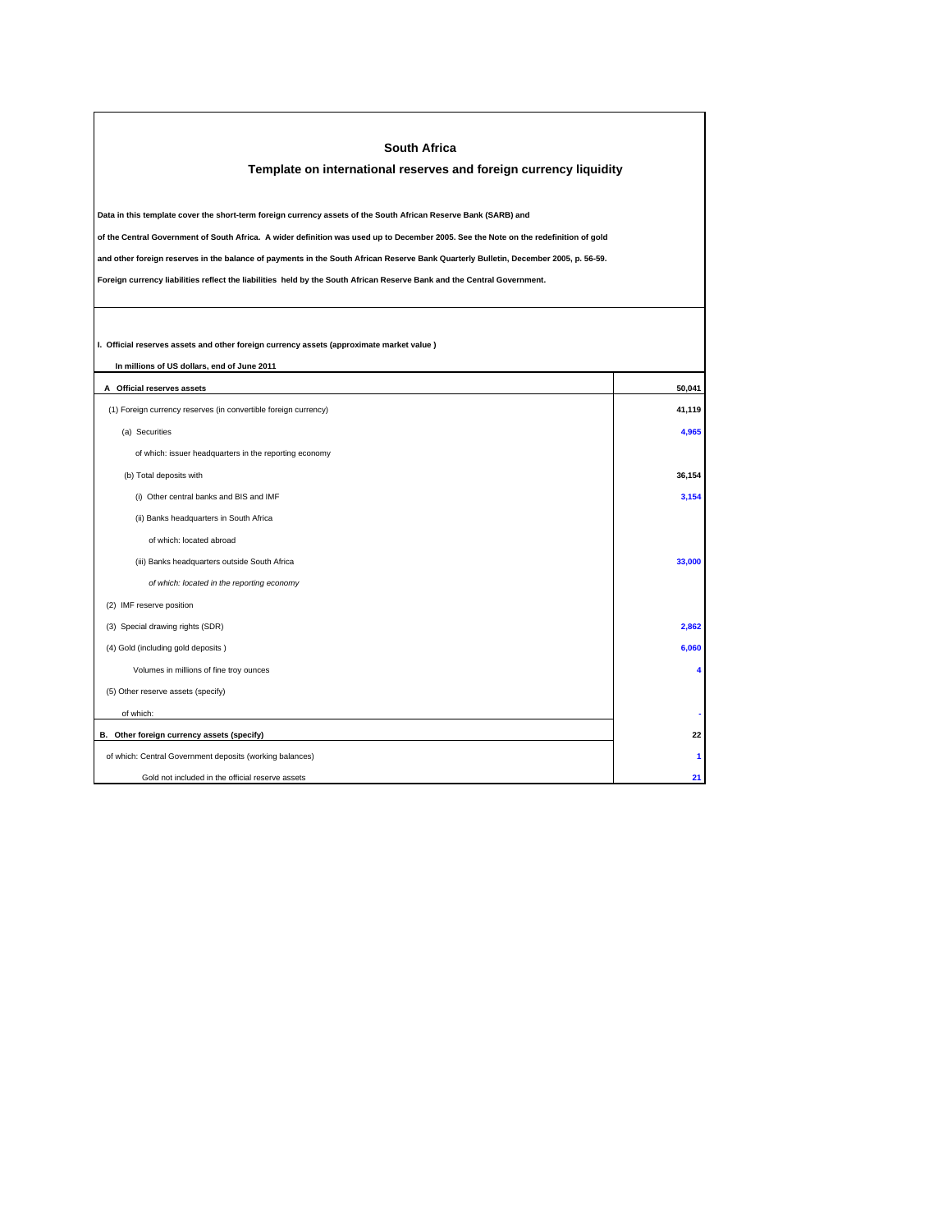| <b>South Africa</b>                                                                                                                     |        |
|-----------------------------------------------------------------------------------------------------------------------------------------|--------|
| Template on international reserves and foreign currency liquidity                                                                       |        |
|                                                                                                                                         |        |
| Data in this template cover the short-term foreign currency assets of the South African Reserve Bank (SARB) and                         |        |
| of the Central Government of South Africa. A wider definition was used up to December 2005. See the Note on the redefinition of gold    |        |
| and other foreign reserves in the balance of payments in the South African Reserve Bank Quarterly Bulletin, December 2005, p. 56-59.    |        |
| Foreign currency liabilities reflect the liabilities held by the South African Reserve Bank and the Central Government.                 |        |
|                                                                                                                                         |        |
|                                                                                                                                         |        |
| I. Official reserves assets and other foreign currency assets (approximate market value)<br>In millions of US dollars, end of June 2011 |        |
| A Official reserves assets                                                                                                              | 50,041 |
| (1) Foreign currency reserves (in convertible foreign currency)                                                                         | 41,119 |
| (a) Securities                                                                                                                          | 4,965  |
| of which: issuer headquarters in the reporting economy                                                                                  |        |
| (b) Total deposits with                                                                                                                 | 36,154 |
| (i) Other central banks and BIS and IMF                                                                                                 | 3,154  |
| (ii) Banks headquarters in South Africa                                                                                                 |        |
| of which: located abroad                                                                                                                |        |
| (iii) Banks headquarters outside South Africa                                                                                           | 33,000 |
| of which: located in the reporting economy                                                                                              |        |
| (2) IMF reserve position                                                                                                                |        |
| (3) Special drawing rights (SDR)                                                                                                        | 2,862  |
| (4) Gold (including gold deposits)                                                                                                      | 6,060  |
| Volumes in millions of fine troy ounces                                                                                                 | 4      |
| (5) Other reserve assets (specify)                                                                                                      |        |
| of which:                                                                                                                               |        |
| B. Other foreign currency assets (specify)                                                                                              | 22     |
| of which: Central Government deposits (working balances)                                                                                | 1      |
| Gold not included in the official reserve assets                                                                                        | 21     |
|                                                                                                                                         |        |

 $\Gamma$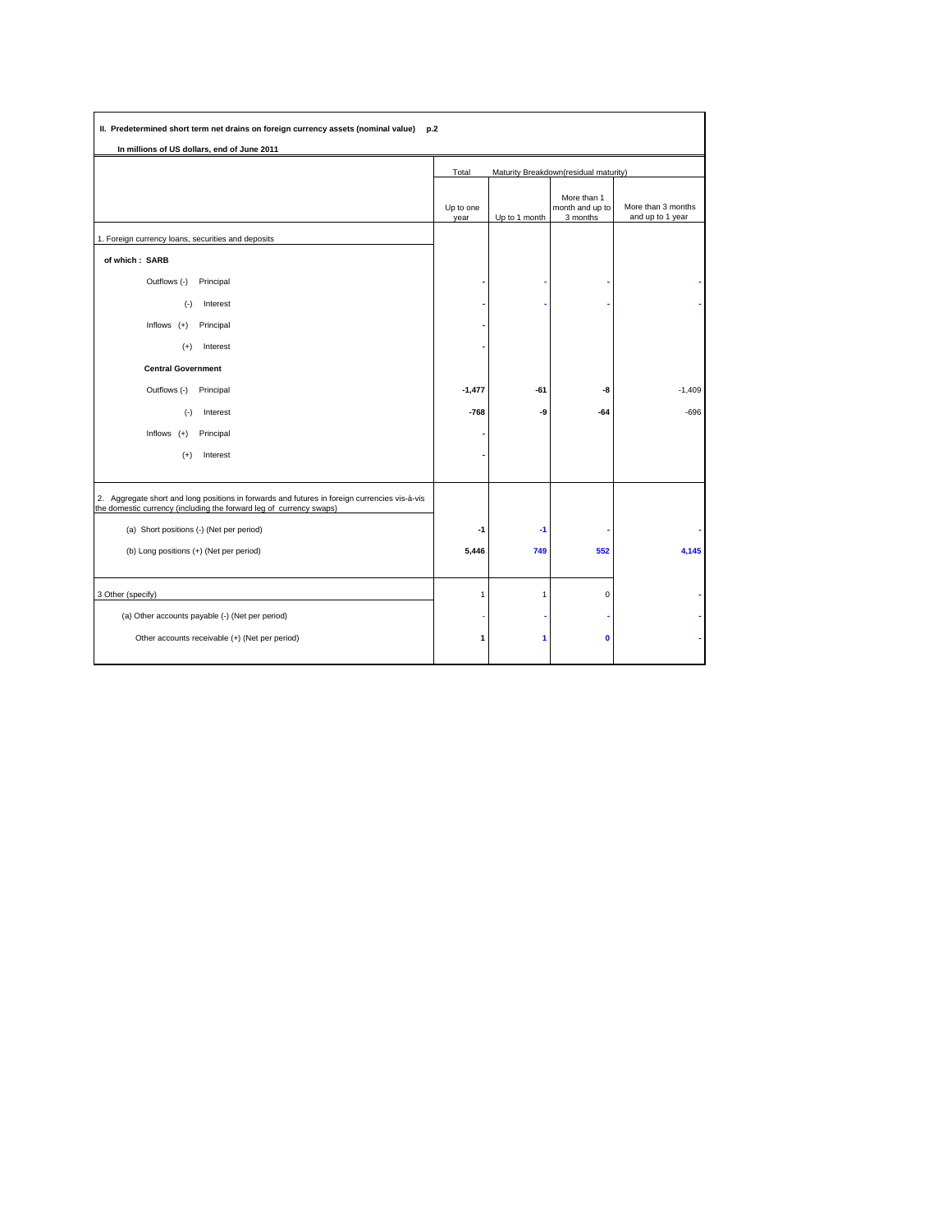| In millions of US dollars, end of June 2011                                                                                                                       |                                                |               |                                            |                                        |  |
|-------------------------------------------------------------------------------------------------------------------------------------------------------------------|------------------------------------------------|---------------|--------------------------------------------|----------------------------------------|--|
|                                                                                                                                                                   | Maturity Breakdown(residual maturity)<br>Total |               |                                            |                                        |  |
|                                                                                                                                                                   | Up to one<br>year                              | Up to 1 month | More than 1<br>month and up to<br>3 months | More than 3 months<br>and up to 1 year |  |
| 1. Foreign currency loans, securities and deposits                                                                                                                |                                                |               |                                            |                                        |  |
| of which: SARB                                                                                                                                                    |                                                |               |                                            |                                        |  |
| Outflows (-)<br>Principal                                                                                                                                         |                                                |               |                                            |                                        |  |
| $(-)$<br>Interest                                                                                                                                                 |                                                |               |                                            |                                        |  |
| Principal<br>Inflows $(+)$                                                                                                                                        |                                                |               |                                            |                                        |  |
| Interest<br>$(+)$                                                                                                                                                 |                                                |               |                                            |                                        |  |
| <b>Central Government</b>                                                                                                                                         |                                                |               |                                            |                                        |  |
| Outflows (-)<br>Principal                                                                                                                                         | $-1,477$                                       | $-61$         | -8                                         | $-1,409$                               |  |
| Interest<br>$(\cdot)$                                                                                                                                             | $-768$                                         | -9            | $-64$                                      | $-696$                                 |  |
| Inflows $(+)$<br>Principal                                                                                                                                        |                                                |               |                                            |                                        |  |
| Interest<br>$(+)$                                                                                                                                                 |                                                |               |                                            |                                        |  |
| 2. Aggregate short and long positions in forwards and futures in foreign currencies vis-à-vis the domestic currency (including the forward leg of currency swaps) |                                                |               |                                            |                                        |  |
| (a) Short positions (-) (Net per period)                                                                                                                          | -1                                             | $-1$          |                                            |                                        |  |
| (b) Long positions (+) (Net per period)                                                                                                                           | 5,446                                          | 749           | 552                                        | 4,145                                  |  |
| 3 Other (specify)                                                                                                                                                 | $\mathbf{1}$                                   | $\mathbf{1}$  | $\mathbf 0$                                |                                        |  |
| (a) Other accounts payable (-) (Net per period)                                                                                                                   |                                                |               |                                            |                                        |  |
| Other accounts receivable (+) (Net per period)                                                                                                                    | $\mathbf{1}$                                   | 1             | $\mathbf{0}$                               |                                        |  |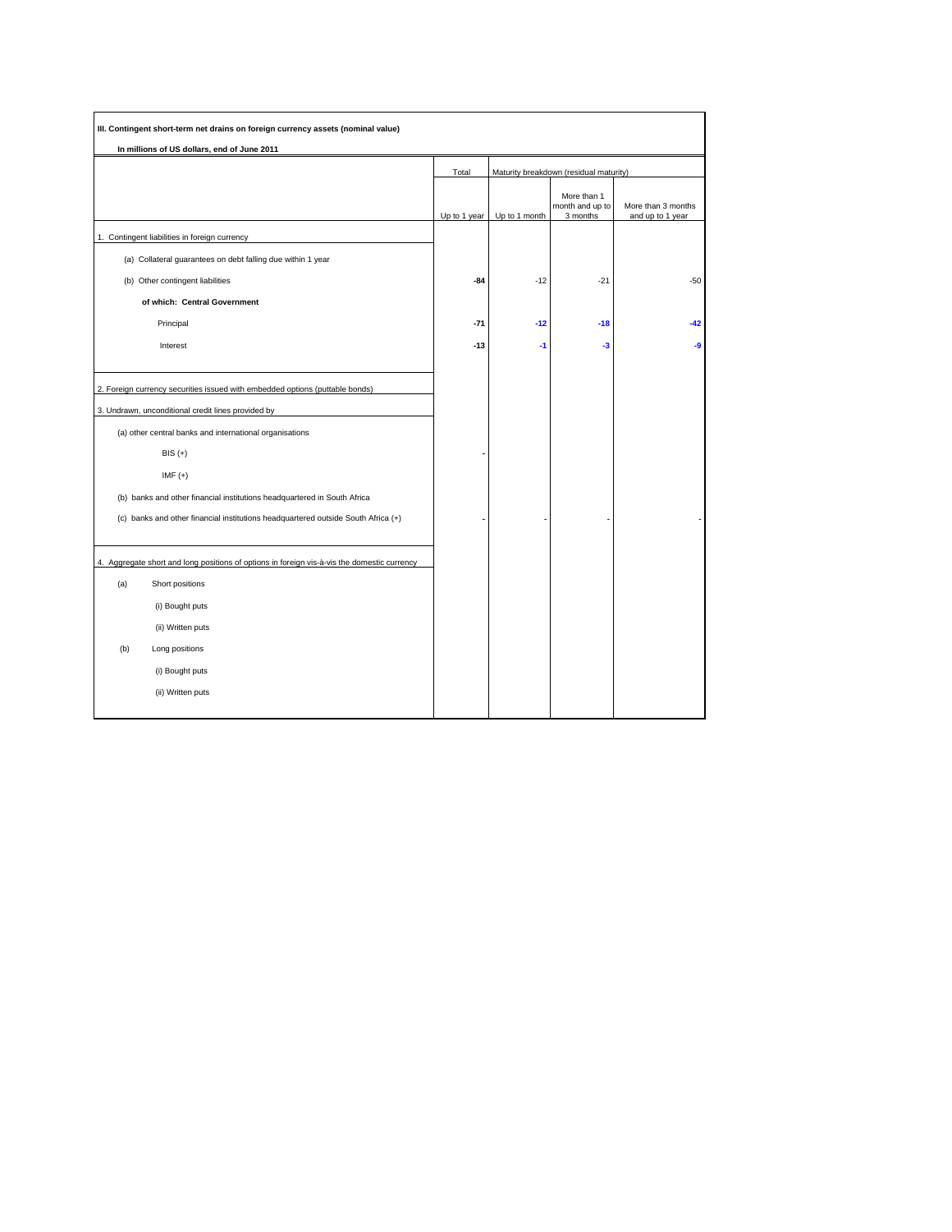| In millions of US dollars, end of June 2011                                                 |              |                                        |                                            |                                        |  |
|---------------------------------------------------------------------------------------------|--------------|----------------------------------------|--------------------------------------------|----------------------------------------|--|
|                                                                                             | Total        | Maturity breakdown (residual maturity) |                                            |                                        |  |
|                                                                                             | Up to 1 year | Up to 1 month                          | More than 1<br>month and up to<br>3 months | More than 3 months<br>and up to 1 year |  |
| 1. Contingent liabilities in foreign currency                                               |              |                                        |                                            |                                        |  |
| (a) Collateral guarantees on debt falling due within 1 year                                 |              |                                        |                                            |                                        |  |
| (b) Other contingent liabilities                                                            | $-84$        | $-12$                                  | $-21$                                      | $-50$                                  |  |
| of which: Central Government                                                                |              |                                        |                                            |                                        |  |
| Principal                                                                                   | $-71$        | $-12$                                  | $-18$                                      | $-42$                                  |  |
| Interest                                                                                    | $-13$        | $-1$                                   | $-3$                                       | -9                                     |  |
| 2. Foreign currency securities issued with embedded options (puttable bonds)                |              |                                        |                                            |                                        |  |
| 3. Undrawn, unconditional credit lines provided by                                          |              |                                        |                                            |                                        |  |
| (a) other central banks and international organisations                                     |              |                                        |                                            |                                        |  |
| $BIS (+)$                                                                                   |              |                                        |                                            |                                        |  |
| IMF $(+)$                                                                                   |              |                                        |                                            |                                        |  |
| (b) banks and other financial institutions headquartered in South Africa                    |              |                                        |                                            |                                        |  |
| (c) banks and other financial institutions headquartered outside South Africa (+)           |              |                                        |                                            |                                        |  |
| 4. Aggregate short and long positions of options in foreign vis-à-vis the domestic currency |              |                                        |                                            |                                        |  |
| (a)<br>Short positions                                                                      |              |                                        |                                            |                                        |  |
| (i) Bought puts                                                                             |              |                                        |                                            |                                        |  |
| (ii) Written puts                                                                           |              |                                        |                                            |                                        |  |
| (b)<br>Long positions                                                                       |              |                                        |                                            |                                        |  |
| (i) Bought puts                                                                             |              |                                        |                                            |                                        |  |
| (ii) Written puts                                                                           |              |                                        |                                            |                                        |  |